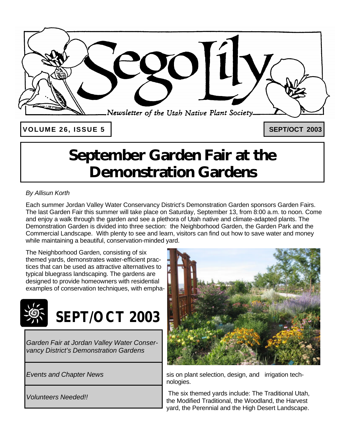

**VOLUME 26, ISSUE 5 SEPT/OCT 2003** 

## **September Garden Fair at the Demonstration Gardens**

#### *By Allisun Korth*

Each summer Jordan Valley Water Conservancy District's Demonstration Garden sponsors Garden Fairs. The last Garden Fair this summer will take place on Saturday, September 13, from 8:00 a.m. to noon. Come and enjoy a walk through the garden and see a plethora of Utah native and climate-adapted plants. The Demonstration Garden is divided into three section: the Neighborhood Garden, the Garden Park and the Commercial Landscape. With plenty to see and learn, visitors can find out how to save water and money while maintaining a beautiful, conservation-minded yard.

The Neighborhood Garden, consisting of six themed yards, demonstrates water-efficient practices that can be used as attractive alternatives to typical bluegrass landscaping. The gardens are designed to provide homeowners with residential examples of conservation techniques, with empha-



*Garden Fair at Jordan Valley Water Conservancy District's Demonstration Gardens*

*Events and Chapter News*

*Volunteers Needed!!*



sis on plant selection, design, and irrigation technologies.

 The six themed yards include: The Traditional Utah, the Modified Traditional, the Woodland, the Harvest yard, the Perennial and the High Desert Landscape.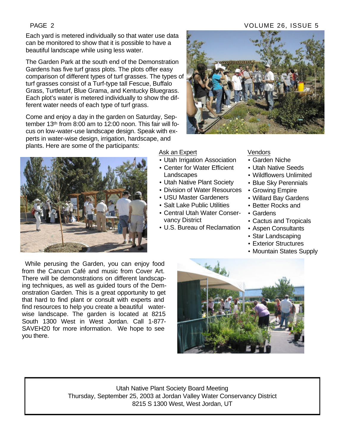Each yard is metered individually so that water use data can be monitored to show that it is possible to have a beautiful landscape while using less water.

The Garden Park at the south end of the Demonstration Gardens has five turf grass plots. The plots offer easy comparison of different types of turf grasses. The types of turf grasses consist of a Turf-type tall Fescue, Buffalo Grass, Turtleturf, Blue Grama, and Kentucky Bluegrass. Each plot's water is metered individually to show the different water needs of each type of turf grass.

Come and enjoy a day in the garden on Saturday, September 13th from 8:00 am to 12:00 noon. This fair will focus on low-water-use landscape design. Speak with experts in water-wise design, irrigation, hardscape, and plants. Here are some of the participants:



- Utah Irrigation Association
- Center for Water Efficient **Landscapes**
- Utah Native Plant Society
- Division of Water Resources
- USU Master Gardeners
- Salt Lake Public Utilities
- Central Utah Water Conservancy District
- U.S. Bureau of Reclamation

#### **Vendors**

- Garden Niche
- Utah Native Seeds
- Wildflowers Unlimited
- Blue Sky Perennials
- Growing Empire
- Willard Bay Gardens
- Better Rocks and
- Gardens
- Cactus and Tropicals
- Aspen Consultants
- Star Landscaping
- Exterior Structures
- Mountain States Supply

 While perusing the Garden, you can enjoy food from the Cancun Café and music from Cover Art. There will be demonstrations on different landscaping techniques, as well as guided tours of the Demonstration Garden. This is a great opportunity to get that hard to find plant or consult with experts and find resources to help you create a beautiful waterwise landscape. The garden is located at 8215 South 1300 West in West Jordan. Call 1-877- SAVEH20 for more information. We hope to see you there.



Utah Native Plant Society Board Meeting Thursday, September 25, 2003 at Jordan Valley Water Conservancy District 8215 S 1300 West, West Jordan, UT



#### PAGE 2 VOLUME 26, ISSUE 5

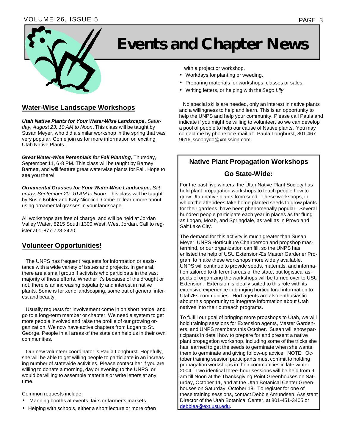#### VOLUME 26, ISSUE 5 PAGE 3



# **Events and Chapter News**

#### **Water-Wise Landscape Workshops**

*Utah Native Plants for Your Water-Wise Landscape, Satur*day, August 23, 10 AM to Noon. This class will be taught by Susan Meyer, who did a similar workshop in the spring that was very popular. Come join us for more information on exciting Utah Native Plants.

*Great Water-Wise Perennials for Fall Planting,* Thursday, September 11, 6-8 PM. This class will be taught by Barney Barnett, and will feature great waterwise plants for Fall. Hope to see you there!

*Ornamental Grasses for Your Water-Wise Landscape***,** *Saturday, September 20, 10 AM to Noon.* This class will be taught by Susie Kohler and Katy Nicolich. Come to learn more about using ornamental grasses in your landscape.

All workshops are free of charge, and will be held at Jordan Valley Water, 8215 South 1300 West, West Jordan. Call to register at 1-877-728-3420.

#### **Volunteer Opportunities!**

 The UNPS has frequent requests for information or assistance with a wide variety of issues and projects. In general, there are a small group if activists who participate in the vast majority of these efforts. Whether it's because of the drought or not, there is an increasing popularity and interest in native plants. Some is for xeric landscaping, some out of general interest and beauty.

 Usually requests for involvement come in on short notice, and go to a long-term member or chapter. We need a system to get more people involved and raise the profile of our growing organization. We now have active chapters from Logan to St. George. People in all areas of the state can help us in their own communities.

 Our new volunteer coordinator is Paula Longhurst. Hopefully, she will be able to get willing people to participate in an increasing number of statewide activities. Please contact her if you are willing to donate a morning, day or evening to the UNPS, or would be willing to assemble materials or write letters at any time.

Common requests include:

- Manning booths at events, fairs or farmer's markets.
- Helping with schools, either a short lecture or more often

with a project or workshop.

- Workdays for planting or weeding.
- Preparing materials for workshops, classes or sales.
- Writing letters, or helping with the *Sego Lily*

 No special skills are needed, only an interest in native plants and a willingness to help and learn. This is an opportunity to help the UNPS and help your community. Please call Paula and indicate if you might be willing to volunteer, so we can develop a pool of people to help our cause of Native plants. You may contact me by phone or e-mail at: Paula Longhurst, 801 467 9616, scoobydo@xmission.com

### **Native Plant Propagation Workshops**

#### **Go State-Wide:**

For the past five winters, the Utah Native Plant Society has held plant propagation workshops to teach people how to grow Utah native plants from seed. These workshops, in which the attendees take home planted seeds to grow plants for their gardens, have been phenomenally popular. Several hundred people participate each year in places as far flung as Logan, Moab, and Springdale, as well as in Provo and Salt Lake City.

The demand for this activity is much greater than Susan Meyer, UNPS Horticulture Chairperson and propshop mastermind, or our organization can fill, so the UNPS has enlisted the help of USU ExtensionÆs Master Gardener Program to make these workshops more widely available. UNPS will continue to provide seeds, materials, and information tailored to different areas of the state, but logistical aspects of organizing the workshops will be turned over to USU Extension. Extension is ideally suited to this role with its extensive experience in bringing horticultural information to UtahÆs communities. Hort agents are also enthusiastic about this opportunity to integrate information about Utah natives into their outreach programs.

To fulfill our goal of bringing more propshops to Utah, we will hold training sessions for Extension agents, Master Gardeners, and UNPS members this October. Susan will show participants in detail how to prepare for and present a native plant propagation workshop, including some of the tricks she has learned to get the seeds to germinate when she wants them to germinate and giving follow-up advice. NOTE: October training session participants must commit to holding propagation workshops in their communities in late winter 2004. Two identical three-hour sessions will be held from 9 am till Noon at the Thanksgiving Point Greenhouses on Saturday, October 11, and at the Utah Botanical Center Greenhouses on Saturday, October 18. To register for one of these training sessions, contact Debbie Amundsen, Assistant Director of the Utah Botanical Center, at 801-451-3405 or debbiea@ext.usu.edu.